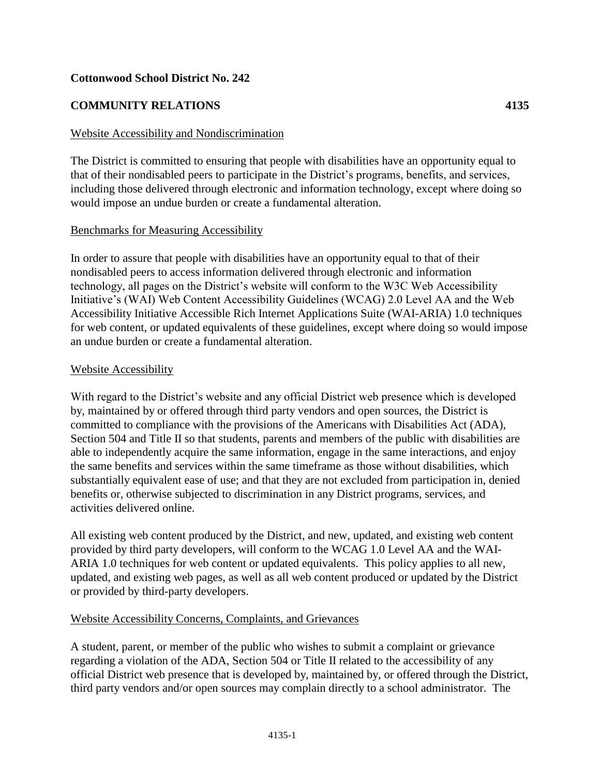# **Cottonwood School District No. 242**

# **COMMUNITY RELATIONS 4135**

## Website Accessibility and Nondiscrimination

The District is committed to ensuring that people with disabilities have an opportunity equal to that of their nondisabled peers to participate in the District's programs, benefits, and services, including those delivered through electronic and information technology, except where doing so would impose an undue burden or create a fundamental alteration.

#### Benchmarks for Measuring Accessibility

In order to assure that people with disabilities have an opportunity equal to that of their nondisabled peers to access information delivered through electronic and information technology, all pages on the District's website will conform to the W3C Web Accessibility Initiative's (WAI) Web Content Accessibility Guidelines (WCAG) 2.0 Level AA and the Web Accessibility Initiative Accessible Rich Internet Applications Suite (WAI-ARIA) 1.0 techniques for web content, or updated equivalents of these guidelines, except where doing so would impose an undue burden or create a fundamental alteration.

## Website Accessibility

With regard to the District's website and any official District web presence which is developed by, maintained by or offered through third party vendors and open sources, the District is committed to compliance with the provisions of the Americans with Disabilities Act (ADA), Section 504 and Title II so that students, parents and members of the public with disabilities are able to independently acquire the same information, engage in the same interactions, and enjoy the same benefits and services within the same timeframe as those without disabilities, which substantially equivalent ease of use; and that they are not excluded from participation in, denied benefits or, otherwise subjected to discrimination in any District programs, services, and activities delivered online.

All existing web content produced by the District, and new, updated, and existing web content provided by third party developers, will conform to the WCAG 1.0 Level AA and the WAI-ARIA 1.0 techniques for web content or updated equivalents. This policy applies to all new, updated, and existing web pages, as well as all web content produced or updated by the District or provided by third-party developers.

## Website Accessibility Concerns, Complaints, and Grievances

A student, parent, or member of the public who wishes to submit a complaint or grievance regarding a violation of the ADA, Section 504 or Title II related to the accessibility of any official District web presence that is developed by, maintained by, or offered through the District, third party vendors and/or open sources may complain directly to a school administrator. The